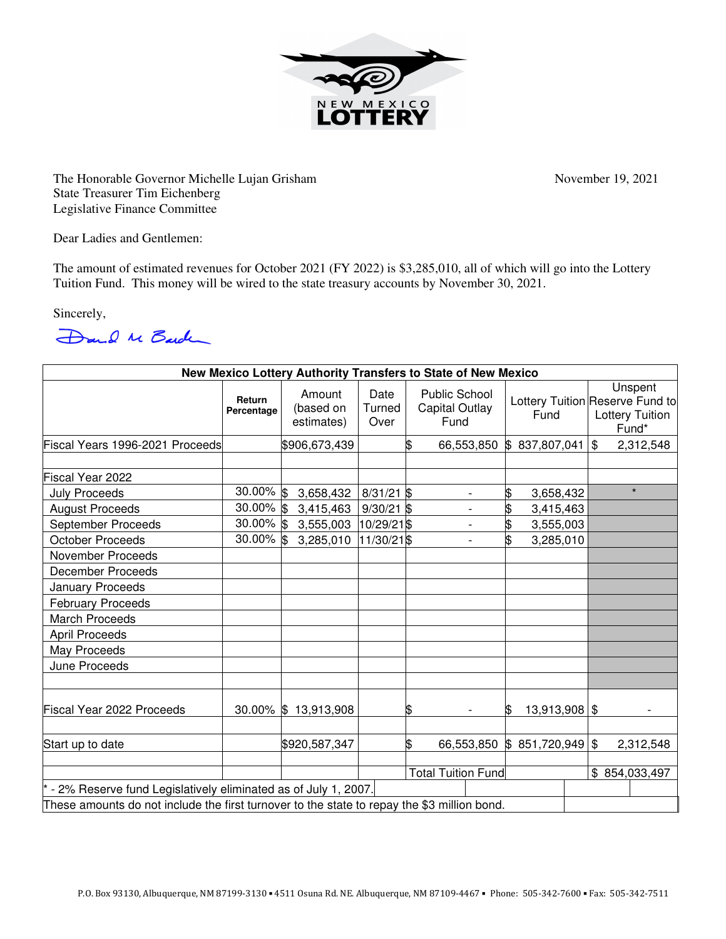

The Honorable Governor Michelle Lujan Grisham November 19, 2021 State Treasurer Tim Eichenberg Legislative Finance Committee

Dear Ladies and Gentlemen:

The amount of estimated revenues for October 2021 (FY 2022) is \$3,285,010, all of which will go into the Lottery Tuition Fund. This money will be wired to the state treasury accounts by November 30, 2021.

Sincerely,

Dand M Barden

| New Mexico Lottery Authority Transfers to State of New Mexico                               |                      |                                   |                        |                           |                                                       |                 |  |                                                                               |
|---------------------------------------------------------------------------------------------|----------------------|-----------------------------------|------------------------|---------------------------|-------------------------------------------------------|-----------------|--|-------------------------------------------------------------------------------|
|                                                                                             | Return<br>Percentage | Amount<br>(based on<br>estimates) | Date<br>Turned<br>Over |                           | <b>Public School</b><br><b>Capital Outlay</b><br>Fund | Fund            |  | Unspent<br>Lottery Tuition Reserve Fund to<br><b>Lottery Tuition</b><br>Fund* |
| Fiscal Years 1996-2021 Proceeds                                                             |                      | \$906,673,439                     |                        | \$                        | 66,553,850                                            | \$837,807,041   |  | $\mathfrak{F}$<br>2,312,548                                                   |
|                                                                                             |                      |                                   |                        |                           |                                                       |                 |  |                                                                               |
| Fiscal Year 2022                                                                            |                      |                                   |                        |                           |                                                       |                 |  |                                                                               |
| <b>July Proceeds</b>                                                                        | $30.00\%$ \$         | 3,658,432                         | $8/31/21$ \$           |                           | $\overline{\phantom{0}}$                              | \$<br>3,658,432 |  | $\star$                                                                       |
| <b>August Proceeds</b>                                                                      | $30.00\%$ \$         | 3,415,463                         | $9/30/21$ \$           |                           |                                                       | \$<br>3,415,463 |  |                                                                               |
| September Proceeds                                                                          | $30.00\%$ \$         | 3,555,003                         | 10/29/21 \$            |                           | $\overline{a}$                                        | \$<br>3,555,003 |  |                                                                               |
| <b>October Proceeds</b>                                                                     | 30.00% \$            | 3,285,010                         | 11/30/21\$             |                           |                                                       | 3,285,010       |  |                                                                               |
| <b>November Proceeds</b>                                                                    |                      |                                   |                        |                           |                                                       |                 |  |                                                                               |
| <b>December Proceeds</b>                                                                    |                      |                                   |                        |                           |                                                       |                 |  |                                                                               |
| January Proceeds                                                                            |                      |                                   |                        |                           |                                                       |                 |  |                                                                               |
| <b>February Proceeds</b>                                                                    |                      |                                   |                        |                           |                                                       |                 |  |                                                                               |
| <b>March Proceeds</b>                                                                       |                      |                                   |                        |                           |                                                       |                 |  |                                                                               |
| <b>April Proceeds</b>                                                                       |                      |                                   |                        |                           |                                                       |                 |  |                                                                               |
| May Proceeds                                                                                |                      |                                   |                        |                           |                                                       |                 |  |                                                                               |
| June Proceeds                                                                               |                      |                                   |                        |                           |                                                       |                 |  |                                                                               |
| Fiscal Year 2022 Proceeds                                                                   |                      | 30.00% \$13,913,908               |                        | \$                        |                                                       | 13,913,908 \$   |  |                                                                               |
| Start up to date                                                                            |                      | \$920,587,347                     |                        | \$                        | 66,553,850                                            | \$851,720,949   |  | $\sqrt[6]{3}$<br>2,312,548                                                    |
|                                                                                             |                      |                                   |                        | <b>Total Tuition Fund</b> |                                                       |                 |  | \$854,033,497                                                                 |
| - 2% Reserve fund Legislatively eliminated as of July 1, 2007.                              |                      |                                   |                        |                           |                                                       |                 |  |                                                                               |
| These amounts do not include the first turnover to the state to repay the \$3 million bond. |                      |                                   |                        |                           |                                                       |                 |  |                                                                               |